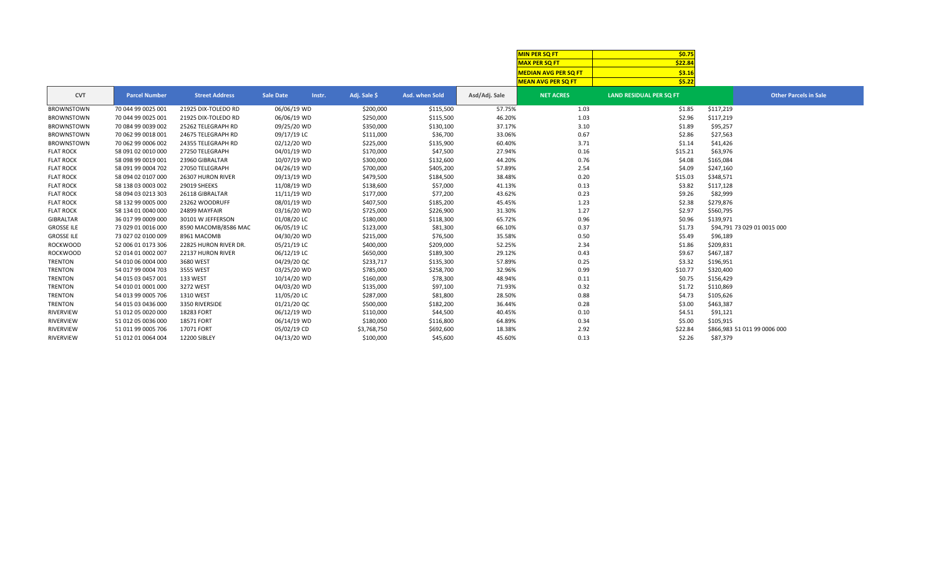|                   |                      |                       |                  |                        |                |               | <b>MIN PER SO FT</b>        | \$0.75                         |                              |
|-------------------|----------------------|-----------------------|------------------|------------------------|----------------|---------------|-----------------------------|--------------------------------|------------------------------|
|                   |                      |                       |                  |                        |                |               | <b>MAX PER SQ FT</b>        | \$22.84                        |                              |
|                   |                      |                       |                  |                        |                |               | <b>MEDIAN AVG PER SQ FT</b> | \$3.16                         |                              |
|                   |                      |                       |                  |                        |                |               | <b>MEAN AVG PER SQ FT</b>   | \$5.22                         |                              |
| <b>CVT</b>        | <b>Parcel Number</b> | <b>Street Address</b> | <b>Sale Date</b> | Adj. Sale \$<br>Instr. | Asd. when Sold | Asd/Adj. Sale | <b>NET ACRES</b>            | <b>LAND RESIDUAL PER SQ FT</b> | <b>Other Parcels in Sale</b> |
| <b>BROWNSTOWN</b> | 70 044 99 0025 001   | 21925 DIX-TOLEDO RD   | 06/06/19 WD      | \$200,000              | \$115,500      | 57.75%        | 1.03                        | \$1.85                         | \$117,219                    |
| <b>BROWNSTOWN</b> | 70 044 99 0025 001   | 21925 DIX-TOLEDO RD   | 06/06/19 WD      | \$250,000              | \$115,500      | 46.20%        | 1.03                        | \$2.96                         | \$117,219                    |
| <b>BROWNSTOWN</b> | 70 084 99 0039 002   | 25262 TELEGRAPH RD    | 09/25/20 WD      | \$350,000              | \$130,100      | 37.17%        | 3.10                        | \$1.89                         | \$95,257                     |
| <b>BROWNSTOWN</b> | 70 062 99 0018 001   | 24675 TELEGRAPH RD    | 09/17/19 LC      | \$111,000              | \$36,700       | 33.06%        | 0.67                        | \$2.86                         | \$27,563                     |
| <b>BROWNSTOWN</b> | 70 062 99 0006 002   | 24355 TELEGRAPH RD    | 02/12/20 WD      | \$225,000              | \$135,900      | 60.40%        | 3.71                        | \$1.14                         | \$41,426                     |
| <b>FLAT ROCK</b>  | 58 091 02 0010 000   | 27250 TELEGRAPH       | 04/01/19 WD      | \$170,000              | \$47,500       | 27.94%        | 0.16                        | \$15.21                        | \$63,976                     |
| <b>FLAT ROCK</b>  | 58 098 99 0019 001   | 23960 GIBRALTAR       | 10/07/19 WD      | \$300,000              | \$132,600      | 44.20%        | 0.76                        | \$4.08                         | \$165,084                    |
| <b>FLAT ROCK</b>  | 58 091 99 0004 702   | 27050 TELEGRAPH       | 04/26/19 WD      | \$700,000              | \$405,200      | 57.89%        | 2.54                        | \$4.09                         | \$247,160                    |
| <b>FLAT ROCK</b>  | 58 094 02 0107 000   | 26307 HURON RIVER     | 09/13/19 WD      | \$479,500              | \$184,500      | 38.48%        | 0.20                        | \$15.03                        | \$348,571                    |
| <b>FLAT ROCK</b>  | 58 138 03 0003 002   | 29019 SHEEKS          | 11/08/19 WD      | \$138,600              | \$57,000       | 41.13%        | 0.13                        | \$3.82                         | \$117,128                    |
| <b>FLAT ROCK</b>  | 58 094 03 0213 303   | 26118 GIBRALTAR       | 11/11/19 WD      | \$177,000              | \$77,200       | 43.62%        | 0.23                        | \$9.26                         | \$82,999                     |
| <b>FLAT ROCK</b>  | 58 132 99 0005 000   | 23262 WOODRUFF        | 08/01/19 WD      | \$407,500              | \$185,200      | 45.45%        | 1.23                        | \$2.38                         | \$279,876                    |
| <b>FLAT ROCK</b>  | 58 134 01 0040 000   | 24899 MAYFAIR         | 03/16/20 WD      | \$725,000              | \$226,900      | 31.30%        | 1.27                        | \$2.97                         | \$560,795                    |
| GIBRALTAR         | 36 017 99 0009 000   | 30101 W JEFFERSON     | 01/08/20 LC      | \$180,000              | \$118,300      | 65.72%        | 0.96                        | \$0.96                         | \$139,971                    |
| <b>GROSSE ILE</b> | 73 029 01 0016 000   | 8590 MACOMB/8586 MAC  | 06/05/19 LC      | \$123,000              | \$81,300       | 66.10%        | 0.37                        | \$1.73                         | \$94,791 73 029 01 0015 000  |
| <b>GROSSE ILE</b> | 73 027 02 0100 009   | 8961 MACOMB           | 04/30/20 WD      | \$215,000              | \$76,500       | 35.58%        | 0.50                        | \$5.49                         | \$96,189                     |
| <b>ROCKWOOD</b>   | 52 006 01 0173 306   | 22825 HURON RIVER DR. | 05/21/19 LC      | \$400,000              | \$209,000      | 52.25%        | 2.34                        | \$1.86                         | \$209,831                    |
| <b>ROCKWOOD</b>   | 52 014 01 0002 007   | 22137 HURON RIVER     | 06/12/19 LC      | \$650,000              | \$189,300      | 29.12%        | 0.43                        | \$9.67                         | \$467,187                    |
| <b>TRENTON</b>    | 54 010 06 0004 000   | 3680 WEST             | 04/29/20 QC      | \$233,717              | \$135,300      | 57.89%        | 0.25                        | \$3.32                         | \$196,951                    |
| <b>TRENTON</b>    | 54 017 99 0004 703   | 3555 WEST             | 03/25/20 WD      | \$785,000              | \$258,700      | 32.96%        | 0.99                        | \$10.77                        | \$320,400                    |
| <b>TRENTON</b>    | 54 015 03 0457 001   | 133 WEST              | 10/14/20 WD      | \$160,000              | \$78,300       | 48.94%        | 0.11                        | \$0.75                         | \$156,429                    |
| TRENTON           | 54 010 01 0001 000   | 3272 WEST             | 04/03/20 WD      | \$135,000              | \$97,100       | 71.93%        | 0.32                        | \$1.72                         | \$110,869                    |
| <b>TRENTON</b>    | 54 013 99 0005 706   | 1310 WEST             | 11/05/20 LC      | \$287,000              | \$81,800       | 28.50%        | 0.88                        | \$4.73                         | \$105,626                    |
| <b>TRENTON</b>    | 54 015 03 0436 000   | 3350 RIVERSIDE        | 01/21/20 QC      | \$500,000              | \$182,200      | 36.44%        | 0.28                        | \$3.00                         | \$463,387                    |
| <b>RIVERVIEW</b>  | 51 012 05 0020 000   | 18283 FORT            | 06/12/19 WD      | \$110,000              | \$44,500       | 40.45%        | 0.10                        | \$4.51                         | \$91,121                     |
| <b>RIVERVIEW</b>  | 51 012 05 0036 000   | 18571 FORT            | 06/14/19 WD      | \$180,000              | \$116,800      | 64.89%        | 0.34                        | \$5.00                         | \$105,915                    |
| <b>RIVERVIEW</b>  | 51 011 99 0005 706   | 17071 FORT            | 05/02/19 CD      | \$3,768,750            | \$692,600      | 18.38%        | 2.92                        | \$22.84                        | \$866,983 51 011 99 0006 000 |
| <b>RIVERVIEW</b>  | 51 012 01 0064 004   | <b>12200 SIBLEY</b>   | 04/13/20 WD      | \$100,000              | \$45,600       | 45.60%        | 0.13                        | \$2.26                         | \$87,379                     |